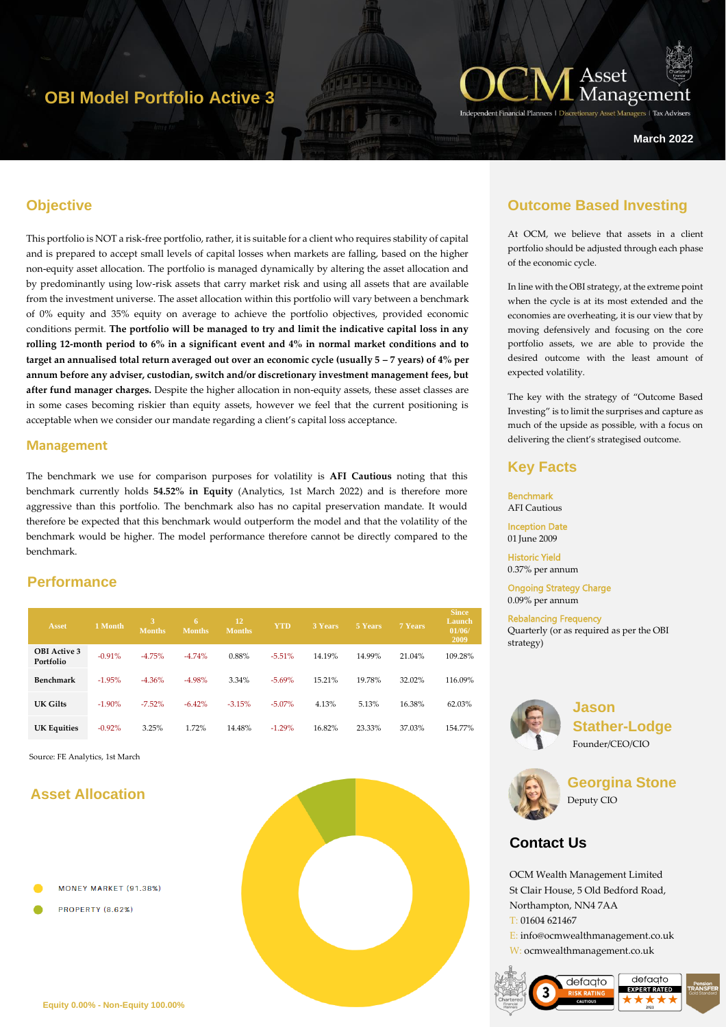# **OBI Model Portfolio Active 3**



**March 2022**

### **Objective**

This portfolio is NOT a risk-free portfolio, rather, it is suitable for a client who requires stability of capital and is prepared to accept small levels of capital losses when markets are falling, based on the higher non-equity asset allocation. The portfolio is managed dynamically by altering the asset allocation and by predominantly using low-risk assets that carry market risk and using all assets that are available from the investment universe. The asset allocation within this portfolio will vary between a benchmark of 0% equity and 35% equity on average to achieve the portfolio objectives, provided economic conditions permit. **The portfolio will be managed to try and limit the indicative capital loss in any rolling 12-month period to 6% in a significant event and 4% in normal market conditions and to target an annualised total return averaged out over an economic cycle (usually**  $5 - 7$  **years) of**  $4\%$  **per annum before any adviser, custodian, switch and/or discretionary investment management fees, but after fund manager charges.** Despite the higher allocation in non-equity assets, these asset classes are in some cases becoming riskier than equity assets, however we feel that the current positioning is acceptable when we consider our mandate regarding a client's capital loss acceptance.

#### **Management**

The benchmark we use for comparison purposes for volatility is **AFI Cautious** noting that this benchmark currently holds **54.52% in Equity** (Analytics, 1st March 2022) and is therefore more aggressive than this portfolio. The benchmark also has no capital preservation mandate. It would therefore be expected that this benchmark would outperform the model and that the volatility of the benchmark would be higher. The model performance therefore cannot be directly compared to the benchmark.

### **Performance**

| Asset                            | 1 Month   | 3,<br><b>Months</b> | 6<br><b>Months</b> | 12<br><b>Months</b> | <b>YTD</b> | 3 Years | 5 Years | 7 Years | <b>Since</b><br>Launch<br>01/06/<br>2009 |
|----------------------------------|-----------|---------------------|--------------------|---------------------|------------|---------|---------|---------|------------------------------------------|
| <b>OBI</b> Active 3<br>Portfolio | $-0.91%$  | $-4.75%$            | $-4.74%$           | 0.88%               | $-5.51%$   | 14.19%  | 14.99%  | 21.04%  | 109.28%                                  |
| Benchmark                        | $-1.95%$  | $-4.36%$            | $-4.98%$           | 3.34%               | $-5.69%$   | 15.21%  | 19.78%  | 32.02%  | 116.09%                                  |
| UK Gilts                         | $-1.90\%$ | $-7.52\%$           | $-6.42%$           | $-3.15%$            | $-5.07\%$  | 4.13%   | 5.13%   | 16.38%  | 62.03%                                   |
| <b>UK Equities</b>               | $-0.92%$  | 3.25%               | 1.72%              | 14.48%              | $-1.29%$   | 16.82%  | 23.33%  | 37.03%  | 154.77%                                  |

Source: FE Analytics, 1st March

# **Asset Allocation**

MONEY MARKET (91.38%)

PROPERTY (8.62%)



### **Outcome Based Investing**

At OCM, we believe that assets in a client portfolio should be adjusted through each phase of the economic cycle.

In line with the OBI strategy, at the extreme point when the cycle is at its most extended and the economies are overheating, it is our view that by moving defensively and focusing on the core portfolio assets, we are able to provide the desired outcome with the least amount of expected volatility.

The key with the strategy of "Outcome Based Investing" is to limit the surprises and capture as much of the upside as possible, with a focus on delivering the client's strategised outcome.

### **Key Facts**

**Benchmark** AFI Cautious

Inception Date 01 June 2009

Historic Yield 0.37% per annum

Ongoing Strategy Charge 0.09% per annum

Rebalancing Frequency Quarterly (or as required as per the OBI strategy)



**Jason Stather-Lodge** Founder/CEO/CIO



**Georgina Stone** Deputy CIO

# **Contact Us**

OCM Wealth Management Limited St Clair House, 5 Old Bedford Road, Northampton, NN4 7AA T: 01604 621467

E: info@ocmwealthmanagement.co.uk W: ocmwealthmanagement.co.uk